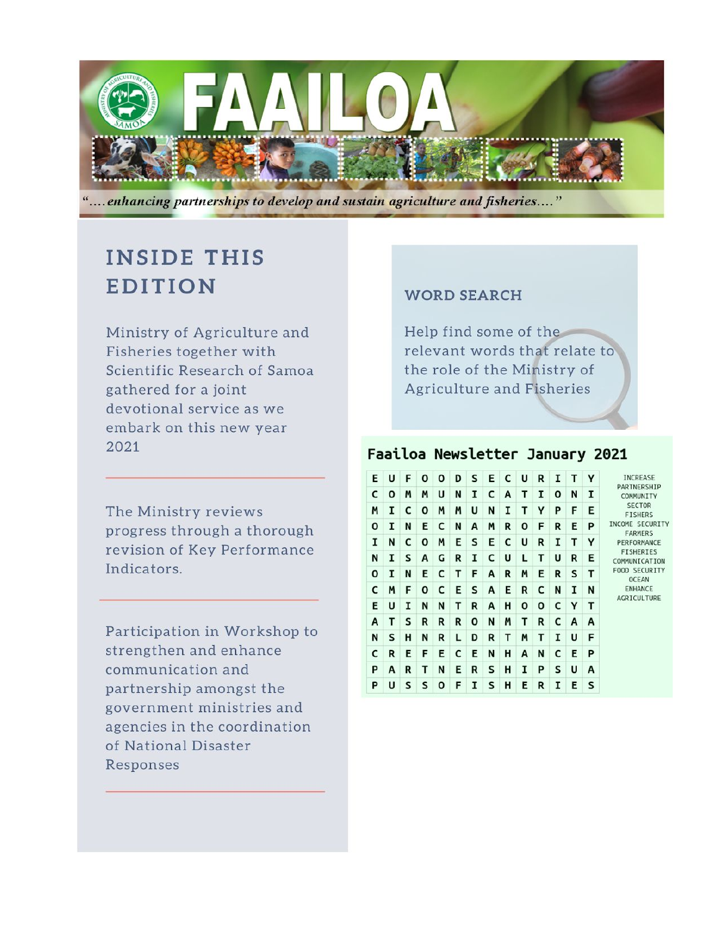

"....enhancing partnerships to develop and sustain agriculture and fisheries...."

# **INSIDE THIS EDITION**

Ministry of Agriculture and Fisheries together with Scientific Research of Samoa gathered for a joint devotional service as we embark on this new year 2021

The Ministry reviews progress through a thorough revision of Key Performance Indicators.

Participation in Workshop to strengthen and enhance communication and partnership amongst the government ministries and agencies in the coordination of National Disaster Responses

#### **WORD SEARCH**

Help find some of the relevant words that relate to the role of the Ministry of Agriculture and Fisheries

## Faailoa Newsletter January 2021

| U | F | O            | 0 | D | s | Е | c | U | R | I | т |   |
|---|---|--------------|---|---|---|---|---|---|---|---|---|---|
| O | M | M            | U | N | I | c | Α | т | I | O | N | 1 |
| I | c | O            | M | M | U | N | 1 | т | Y | P | F | Е |
| I | N | E            | c | N | A | M | R | 0 | F | R | E | P |
| N | c | $\mathbf{o}$ | M | Ε | s | E | c | U | R | 1 | т | Y |
| I | s | A            | G | R | I | c | U | L | т | U | R | Ε |
| I | N | E            | c | т | F | A | R | M | E | R | S | т |
| M | F | 0            | c | E | s | A | Ε | R | c | N | I | N |
| U | I | N            | N | т | R | Α | н | 0 | 0 | с | Y | т |
| т | s | R            | R | R | O | N | M | т | R | c | A | A |
| s | н | N            | R | L | D | R | т | M | т | 1 | U | F |
| R | E | F            | E | c | E | N | Н | A | N | c | E | P |
| A | R | т            | N | Ε | R | s | н | I | P | S | U | A |
| U | s | s            | О | F | I | s | н | Ε | R | I | Е | s |
|   |   |              |   |   |   |   |   |   |   |   |   |   |

INCREASE PARTNERSHIP COMMUNITY SECTOR FISHERS INCOME SECURITY<br>FARMERS PERFORMANCE FISHERIES COMMUNICATION FOOD SECURITY OCEAN ENHANCE AGRICULTURE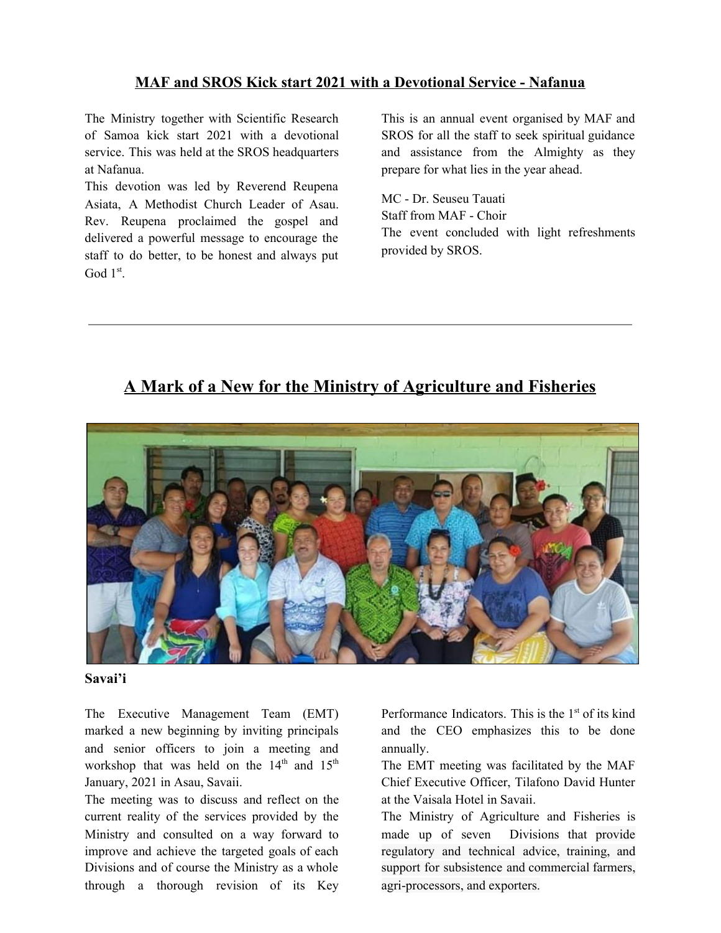#### **MAF and SROS Kick start 2021 with a Devotional Service - Nafanua**

The Ministry together with Scientific Research of Samoa kick start 2021 with a devotional service. This was held at the SROS headquarters at Nafanua.

This devotion was led by Reverend Reupena Asiata, A Methodist Church Leader of Asau. Rev. Reupena proclaimed the gospel and delivered a powerful message to encourage the staff to do better, to be honest and always put God 1<sup>st</sup>.

This is an annual event organised by MAF and SROS for all the staff to seek spiritual guidance and assistance from the Almighty as they prepare for what lies in the year ahead.

MC - Dr. Seuseu Tauati Staff from MAF - Choir The event concluded with light refreshments provided by SROS.

## **A Mark of a New for the Ministry of Agriculture and Fisheries**



#### **Savai'i**

The Executive Management Team (EMT) marked a new beginning by inviting principals and senior officers to join a meeting and workshop that was held on the  $14<sup>th</sup>$  and  $15<sup>th</sup>$ January, 2021 in Asau, Savaii.

The meeting was to discuss and reflect on the current reality of the services provided by the Ministry and consulted on a way forward to improve and achieve the targeted goals of each Divisions and of course the Ministry as a whole through a thorough revision of its Key

Performance Indicators. This is the 1<sup>st</sup> of its kind and the CEO emphasizes this to be done annually.

The EMT meeting was facilitated by the MAF Chief Executive Officer, Tilafono David Hunter at the Vaisala Hotel in Savaii.

The Ministry of Agriculture and Fisheries is made up of seven Divisions that provide regulatory and technical advice, training, and support for subsistence and commercial farmers, agri-processors, and exporters.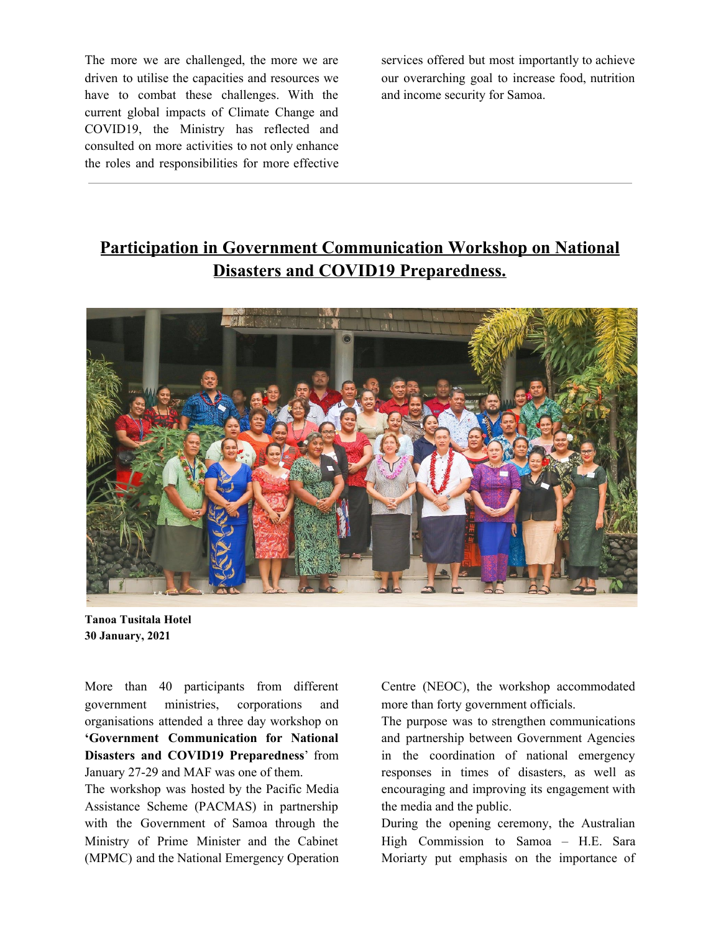The more we are challenged, the more we are driven to utilise the capacities and resources we have to combat these challenges. With the current global impacts of Climate Change and COVID19, the Ministry has reflected and consulted on more activities to not only enhance the roles and responsibilities for more effective services offered but most importantly to achieve our overarching goal to increase food, nutrition and income security for Samoa.

# **Participation in Government Communication Workshop on National Disasters and COVID19 Preparedness.**



**Tanoa Tusitala Hotel 30 January, 2021**

More than 40 participants from different government ministries, corporations and organisations attended a three day workshop on **'Government Communication for National Disasters and COVID19 Preparedness**' from January 27-29 and MAF was one of them.

The workshop was hosted by the Pacific Media Assistance Scheme (PACMAS) in partnership with the Government of Samoa through the Ministry of Prime Minister and the Cabinet (MPMC) and the National Emergency Operation

Centre (NEOC), the workshop accommodated more than forty government officials.

The purpose was to strengthen communications and partnership between Government Agencies in the coordination of national emergency responses in times of disasters, as well as encouraging and improving its engagement with the media and the public.

During the opening ceremony, the Australian High Commission to Samoa – H.E. Sara Moriarty put emphasis on the importance of